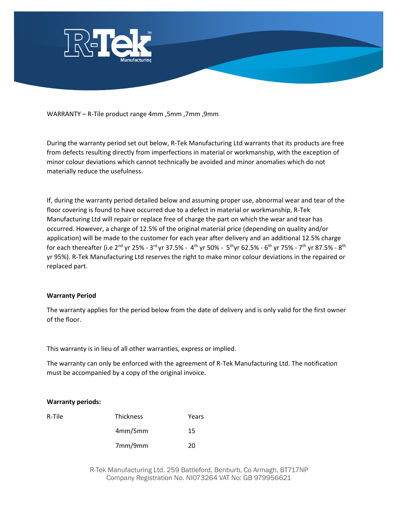

WARRANTY – R-Tile product range 4mm ,5mm ,7mm ,9mm

During the warranty period set out below, R-Tek Manufacturing Ltd warrants that its products are free from defects resulting directly from imperfections in material or workmanship, with the exception of minor colour deviations which cannot technically be avoided and minor anomalies which do not materially reduce the usefulness.

If, during the warranty period detailed below and assuming proper use, abnormal wear and tear of the floor covering is found to have occurred due to a defect in material or workmanship, R-Tek Manufacturing Ltd will repair or replace free of charge the part on which the wear and tear has occurred. However, a charge of 12.5% of the original material price (depending on quality and/or application) will be made to the customer for each year after delivery and an additional 12.5% charge for each thereafter (i.e 2<sup>nd</sup> yr 25% - 3<sup>rd</sup> yr 37.5% - 4<sup>th</sup> yr 50% - 5<sup>th</sup>yr 62.5% - 6<sup>th</sup> yr 75% - 7<sup>th</sup> yr 87.5% - 8<sup>th</sup> yr 95%). R-Tek Manufacturing Ltd reserves the right to make minor colour deviations in the repaired or replaced part.

## **Warranty Period**

The warranty applies for the period below from the date of delivery and is only valid for the first owner of the floor.

This warranty is in lieu of all other warranties, express or implied.

The warranty can only be enforced with the agreement of R-Tek Manufacturing Ltd. The notification must be accompanied by a copy of the original invoice.

## **Warranty periods:**

| R-Tile | <b>Thickness</b> | Years |
|--------|------------------|-------|
|        | 4mm/5mm          | 15    |
|        | 7mm/9mm          | 20    |

R-Tek Manufacturing Ltd. 259 Battleford, Benburb, Co Armagh, BT717NP Company Registration No. NI073264 VAT No: GB 979956621